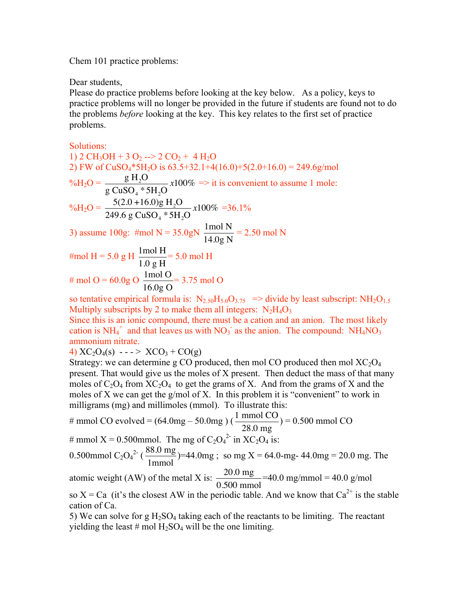Chem 101 practice problems:

Dear students,

Please do practice problems before looking at the key below. As a policy, keys to practice problems will no longer be provided in the future if students are found not to do the problems *before* looking at the key. This key relates to the first set of practice problems.

Solutions:

1) 2 CH<sub>3</sub>OH + 3 O<sub>2</sub> --> 2 CO<sub>2</sub> + 4 H<sub>2</sub>O 2) FW of CuSO<sub>4</sub>\*5H<sub>2</sub>O is 63.5+32.1+4(16.0)+5(2.0+16.0) = 249.6g/mol  $\%H_2O = \frac{g H_2O}{G SO * G}$ 3) assume 100g: #mol N =  $35.0gN \frac{1 \text{ mol N}}{11.6 \text{ m}}$ g CuSO<sub>4</sub>  $*$  5H<sub>2</sub>O  $x100\% \Rightarrow$  it is convenient to assume 1 mole:  $\%H_2O = \frac{5(2.0 + 16.0)g H_2O}{240.6 \times 10^{-3} m^2}$ 249.6 g CuSO<sub>4</sub>  $*5H_2O$ *x*100% =36.1% 14.0g N  $= 2.50$  mol N

$$
\text{\#mol H} = 5.0 \text{ g H } \frac{1 \text{mol H}}{1.0 \text{ g H}} = 5.0 \text{ mol H}
$$

# mol O = 60.0g O 
$$
\frac{1 \text{ mol O}}{16.0g \text{ O}}
$$
 = 3.75 mol O

So tendive empirical formula is:  $\frac{N_2S_0(15,0003,0003)}{N_2N_4O_3}$  Multiply subscripts by 2 to make them all integers:  $N_2H_4O_3$ so tentative empirical formula is:  $N_{2.50}H_{5.0}O_{3.75}$  => divide by least subscript:  $NH_2O_{1.5}$ 

cation is  $NH_4^+$  and that leaves us with  $NO_3^-$  as the anion. The compound:  $NH_4NO_3$ Since this is an ionic compound, there must be a cation and an anion. The most likely ammonium nitrate.

4)  $XC_2O_4(s)$  - - - >  $XCO_3 + CO(g)$ 

Strategy: we can determine g CO produced, then mol CO produced then mol  $XC_2O_4$ present. That would give us the moles of X present. Then deduct the mass of that many moles of  $C_2O_4$  from  $XC_2O_4$  to get the grams of X. And from the grams of X and the moles of X we can get the g/mol of X. In this problem it is "convenient" to work in milligrams (mg) and millimoles (mmol). To illustrate this:

# mmol CO evolved = 
$$
(64.0 \text{mg} - 50.0 \text{mg}) (\frac{1 \text{ mmol CO}}{28.0 \text{ mg}}) = 0.500 \text{ mmol CO}
$$

# mmol X = 0.500mmol. The mg of  $C_2O_4^2$  in X $C_2O_4$  is:

0.500mmol C<sub>2</sub>O<sub>4</sub><sup>2</sup> (
$$
\frac{88.0 \text{ mg}}{1 \text{ mmol}}
$$
)=44.0mg ; so mg X = 64.0-mg-44.0mg = 20.0 mg. The

atomic weight (AW) of the metal X is:  $\frac{20.0 \text{ mg}}{0.500 \text{ mmol}}$ =40.0 mg/mmol = 40.0 g/mol

€ cation of Ca. so  $X = Ca$  (it's the closest AW in the periodic table. And we know that  $Ca^{2+}$  is the stable

yielding the least # mol  $\overline{H_2SO_4}$  will be the one limiting. 5) We can solve for g  $H_2SO_4$  taking each of the reactants to be limiting. The reactant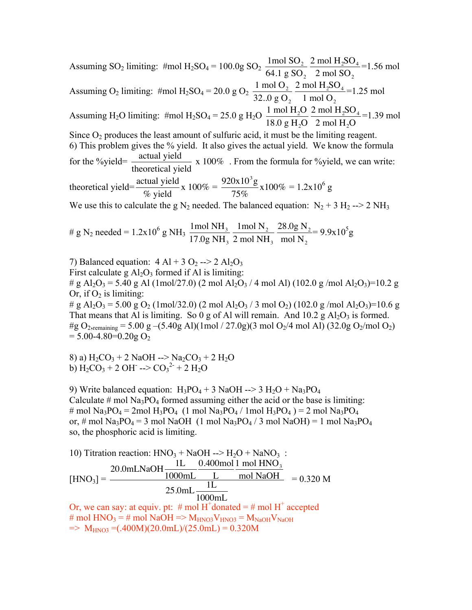Assuming SO<sub>2</sub> limiting: #mol H<sub>2</sub>SO<sub>4</sub> = 100.0g SO<sub>2</sub>  $\frac{1 \text{ mol SO}_2}{644 \text{ m}^2}$ Assuming H<sub>2</sub>O limiting: #mol H<sub>2</sub>SO<sub>4</sub> = 25.0 g H<sub>2</sub>O  $\frac{1 \text{ mol H}_2\text{O}}{10.0 \text{ J} \cdot \text{mol}}$ 64.1 g  $\text{SO}_2$ 2 mol  $H_2SO_4$ 2 mol  $\text{SO}_2$ =1.56 mol Assuming O<sub>2</sub> limiting: #mol H<sub>2</sub>SO<sub>4</sub> = 20.0 g O<sub>2</sub>  $\frac{1 \text{ mol O}_2}{22.0 \text{ mO}}$ Since  $O_2$  produces the least amount of sulfuric acid, it must be the limiting reagent. 32.. $0$  g  $O<sub>2</sub>$ 2 mol  $\rm H_2SO_4$ 1 mol  $O_2$ =1.25 mol for the %yield= $\frac{\text{actual yield}}{\text{theoretical yield}} \times 100\%$ . From the for-18.0 g  $H_2O$ 2 mol  $H_2SO_4$ 2 mol  $H_2O$  $=1.39$  mol 6) This problem gives the % yield. It also gives the actual yield. We know the formula We use this to calculate the g  $N_2$  needed. The balanced equation:  $N_2 + 3 H_2 \rightarrow 2 NH_3$ theoretical yield x 100% . From the formula for %yield, we can write: theoretical yield= $\frac{\text{actual yield}}{\text{stat}}$ % yield  $x 100\% = \frac{920x10^3g}{750}$ 75%  $x100\% = 1.2x10^6$  g

# g N<sub>2</sub> needed = 1.2x10<sup>6</sup> g NH<sub>3</sub> 
$$
\frac{1 \text{mol } NH_3}{17.0 \text{g } NH_3} \frac{1 \text{mol } N_2}{2 \text{ mol } NH_3} \frac{28.0 \text{g } N_2}{\text{mol } N_2} = 9.9x10^5 \text{g}
$$

7) Balanced equation:  $4 \text{ Al} + 3 \text{ O}_2$  -->  $2 \text{ Al}_2\text{O}_3$ First calculate g  $Al_2O_3$  formed if Al is limiting:

# g Al<sub>2</sub>O<sub>3</sub> = 5.40 g Al (1mol/27.0) (2 mol Al<sub>2</sub>O<sub>3</sub> / 4 mol Al) (102.0 g /mol Al<sub>2</sub>O<sub>3</sub>)=10.2 g Or, if  $O_2$  is limiting:

# g Al<sub>2</sub>O<sub>3</sub> = 5.00 g O<sub>2</sub> (1mol/32.0) (2 mol Al<sub>2</sub>O<sub>3</sub> / 3 mol O<sub>2</sub>) (102.0 g/mol Al<sub>2</sub>O<sub>3</sub>)=10.6 g That means that Al is limiting. So 0 g of Al will remain. And  $10.2$  g Al<sub>2</sub>O<sub>3</sub> is formed. #g O<sub>2</sub>, remaining = 5.00 g –(5.40g Al)(1mol / 27.0g)(3 mol O<sub>2</sub>/4 mol Al) (32.0g O<sub>2</sub>/mol O<sub>2</sub>)  $= 5.00 - 4.80 = 0.20g$  O<sub>2</sub>

8) a)  $H_2CO_3 + 2$  NaOH --> Na<sub>2</sub>CO<sub>3</sub> + 2 H<sub>2</sub>O b)  $\text{H}_2\text{CO}_3 + 2 \text{OH} \rightarrow \text{CO}_3^2 + 2 \text{H}_2\text{O}$ 

9) Write balanced equation:  $H_3PO_4 + 3$  NaOH --> 3  $H_2O + Na_3PO_4$ Calculate  $\#$  mol Na<sub>3</sub>PO<sub>4</sub> formed assuming either the acid or the base is limiting: # mol Na<sub>3</sub>PO<sub>4</sub> = 2mol H<sub>3</sub>PO<sub>4</sub> (1 mol Na<sub>3</sub>PO<sub>4</sub> / 1mol H<sub>3</sub>PO<sub>4</sub>) = 2 mol Na<sub>3</sub>PO<sub>4</sub> or, # mol Na<sub>3</sub>PO<sub>4</sub> = 3 mol NaOH (1 mol Na<sub>3</sub>PO<sub>4</sub> / 3 mol NaOH) = 1 mol Na<sub>3</sub>PO<sub>4</sub> so, the phosphoric acid is limiting.

10) Titration reaction: HNO<sub>3</sub> + NaOH 
$$
\longrightarrow
$$
 H<sub>2</sub>O + NaNO<sub>3</sub>:  
\n[HNO<sub>3</sub>] = 
$$
\frac{20.0 \text{m} \text{L} \text{NaOH}}{1000 \text{m} \text{L}} \frac{0.400 \text{mol}}{\text{L}} \frac{1 \text{mol HNO}_3}{\text{mol NaOH}} = 0.320 \text{M}
$$
\nOr, we can say: at equity. pt: # mol H<sup>+</sup> donated = # mol H<sup>+</sup> accepted  
\n# mol HNO<sub>3</sub> = # mol NaOH => M<sub>HNO3</sub>V<sub>HNO3</sub> = M<sub>NaOH</sub>V<sub>NaOH</sub>  
\n
$$
\Rightarrow MHNO3 = (.400 \text{M})(20.0 \text{m} \text{L})/(25.0 \text{m} \text{L}) = 0.320 \text{M}
$$